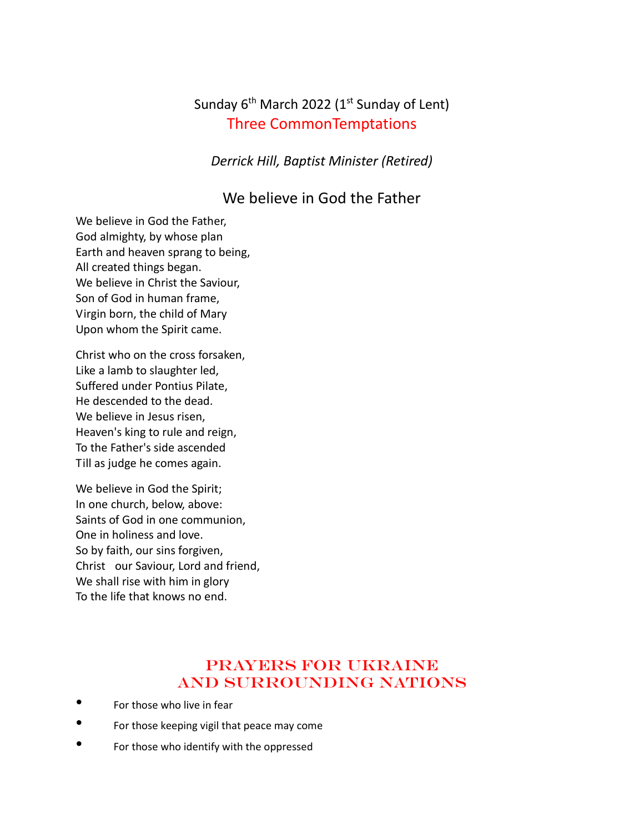# Sunday  $6<sup>th</sup>$  March 2022 (1<sup>st</sup> Sunday of Lent) Three CommonTemptations

*Derrick Hill, Baptist Minister (Retired)*

### We believe in God the Father

We believe in God the Father, God almighty, by whose plan Earth and heaven sprang to being, All created things began. We believe in Christ the Saviour, Son of God in human frame, Virgin born, the child of Mary Upon whom the Spirit came.

Christ who on the cross forsaken, Like a lamb to slaughter led, Suffered under Pontius Pilate, He descended to the dead. We believe in Jesus risen, Heaven's king to rule and reign, To the Father's side ascended Till as judge he comes again.

We believe in God the Spirit; In one church, below, above: Saints of God in one communion, One in holiness and love. So by faith, our sins forgiven, Christ our Saviour, Lord and friend, We shall rise with him in glory To the life that knows no end.

## Prayers for Ukraine And Surrounding Nations

- For those who live in fear
- For those keeping vigil that peace may come
- For those who identify with the oppressed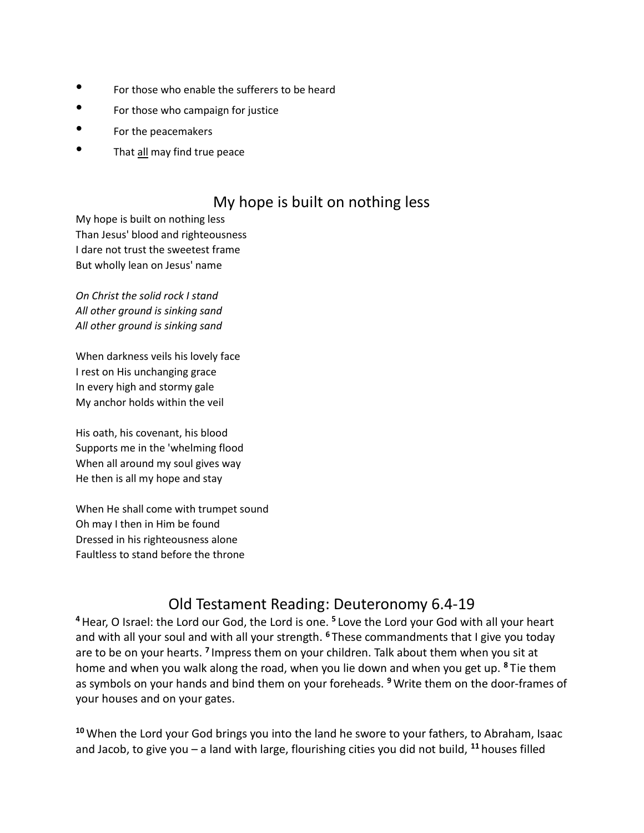- For those who enable the sufferers to be heard
- For those who campaign for justice
- For the peacemakers
- That all may find true peace

## My hope is built on nothing less

My hope is built on nothing less Than Jesus' blood and righteousness I dare not trust the sweetest frame But wholly lean on Jesus' name

*On Christ the solid rock I stand All other ground is sinking sand All other ground is sinking sand*

When darkness veils his lovely face I rest on His unchanging grace In every high and stormy gale My anchor holds within the veil

His oath, his covenant, his blood Supports me in the 'whelming flood When all around my soul gives way He then is all my hope and stay

When He shall come with trumpet sound Oh may I then in Him be found Dressed in his righteousness alone Faultless to stand before the throne

# Old Testament Reading: Deuteronomy 6.4-19

<sup>4</sup> Hear, O Israel: the Lord our God, the Lord is one. <sup>5</sup> Love the Lord your God with all your heart and with all your soul and with all your strength. **<sup>6</sup>** These commandments that I give you today are to be on your hearts. <sup>7</sup> Impress them on your children. Talk about them when you sit at home and when you walk along the road, when you lie down and when you get up. **<sup>8</sup>** Tie them as symbols on your hands and bind them on your foreheads. **<sup>9</sup>** Write them on the door-frames of your houses and on your gates.

**<sup>10</sup>** When the Lord your God brings you into the land he swore to your fathers, to Abraham, Isaac and Jacob, to give you – a land with large, flourishing cities you did not build, **<sup>11</sup>** houses filled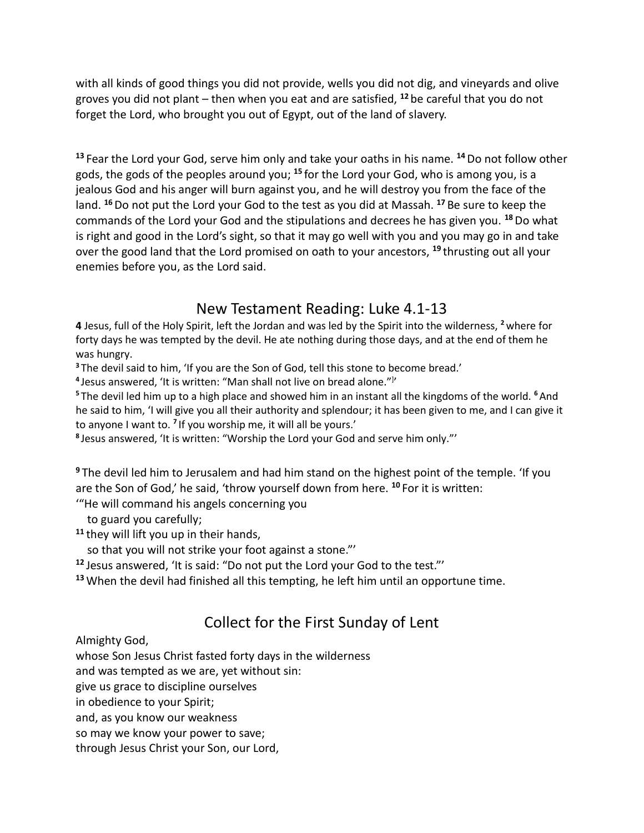with all kinds of good things you did not provide, wells you did not dig, and vineyards and olive groves you did not plant – then when you eat and are satisfied, **<sup>12</sup>** be careful that you do not forget the Lord, who brought you out of Egypt, out of the land of slavery.

**<sup>13</sup>** Fear the Lord your God, serve him only and take your oaths in his name. **<sup>14</sup>**Do not follow other gods, the gods of the peoples around you; **<sup>15</sup>** for the Lord your God, who is among you, is a jealous God and his anger will burn against you, and he will destroy you from the face of the land. **<sup>16</sup>**Do not put the Lord your God to the test as you did at Massah. **<sup>17</sup>** Be sure to keep the commands of the Lord your God and the stipulations and decrees he has given you. **<sup>18</sup>**Do what is right and good in the Lord's sight, so that it may go well with you and you may go in and take over the good land that the Lord promised on oath to your ancestors, **<sup>19</sup>** thrusting out all your enemies before you, as the Lord said.

## New Testament Reading: Luke 4.1-13

**4** Jesus, full of the Holy Spirit, left the Jordan and was led by the Spirit into the wilderness, **<sup>2</sup>**where for forty days he was tempted by the devil. He ate nothing during those days, and at the end of them he was hungry.

**<sup>3</sup>** The devil said to him, 'If you are the Son of God, tell this stone to become bread.'

<sup>4</sup> Jesus answered, 'It is written: "Man shall not live on bread alone."<sup>}</sup>'

**<sup>5</sup>** The devil led him up to a high place and showed him in an instant all the kingdoms of the world. **<sup>6</sup>**And he said to him, 'I will give you all their authority and splendour; it has been given to me, and I can give it to anyone I want to. **<sup>7</sup>** If you worship me, it will all be yours.'

**8** Jesus answered, 'It is written: "Worship the Lord your God and serve him only."'

**<sup>9</sup>** The devil led him to Jerusalem and had him stand on the highest point of the temple. 'If you are the Son of God,' he said, 'throw yourself down from here. **<sup>10</sup>** For it is written:

'"He will command his angels concerning you

to guard you carefully;

**<sup>11</sup>** they will lift you up in their hands,

so that you will not strike your foot against a stone."'

**<sup>12</sup>** Jesus answered, 'It is said: "Do not put the Lord your God to the test."'

**<sup>13</sup>** When the devil had finished all this tempting, he left him until an opportune time.

# Collect for the First Sunday of Lent

Almighty God,

whose Son Jesus Christ fasted forty days in the wilderness

and was tempted as we are, yet without sin:

give us grace to discipline ourselves

in obedience to your Spirit;

and, as you know our weakness

so may we know your power to save;

through Jesus Christ your Son, our Lord,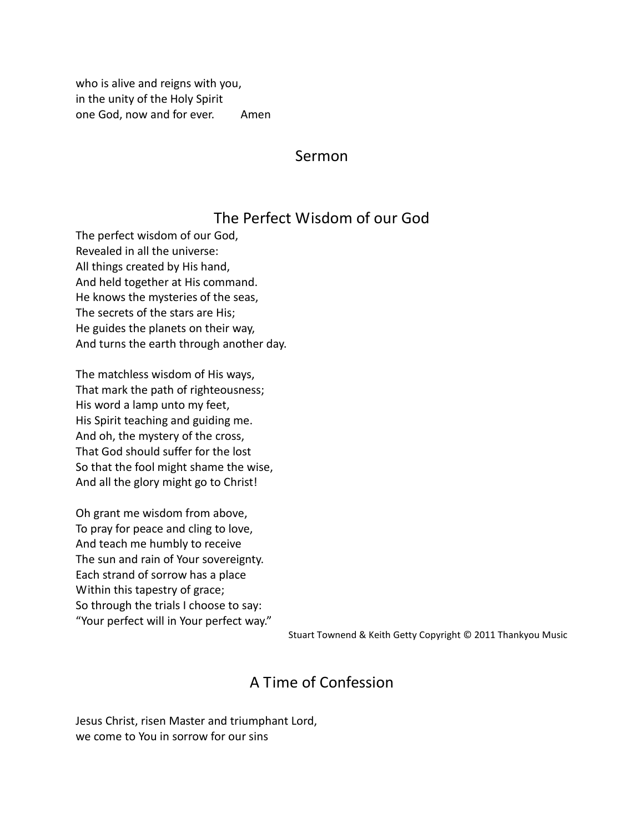who is alive and reigns with you, in the unity of the Holy Spirit one God, now and for ever. Amen

#### Sermon

#### The Perfect Wisdom of our God

The perfect wisdom of our God, Revealed in all the universe: All things created by His hand, And held together at His command. He knows the mysteries of the seas, The secrets of the stars are His; He guides the planets on their way, And turns the earth through another day.

The matchless wisdom of His ways, That mark the path of righteousness; His word a lamp unto my feet, His Spirit teaching and guiding me. And oh, the mystery of the cross, That God should suffer for the lost So that the fool might shame the wise, And all the glory might go to Christ!

Oh grant me wisdom from above, To pray for peace and cling to love, And teach me humbly to receive The sun and rain of Your sovereignty. Each strand of sorrow has a place Within this tapestry of grace; So through the trials I choose to say: "Your perfect will in Your perfect way."

Stuart Townend & Keith Getty Copyright © 2011 Thankyou Music

### A Time of Confession

Jesus Christ, risen Master and triumphant Lord, we come to You in sorrow for our sins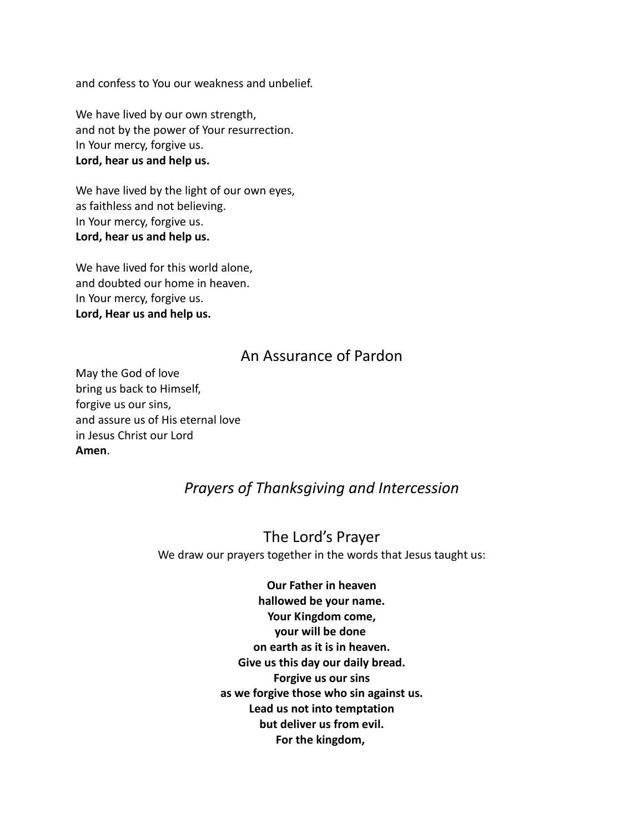and confess to You our weakness and unbelief.

We have lived by our own strength, and not by the power of Your resurrection. In Your mercy, forgive us. **Lord, hear us and help us.**

We have lived by the light of our own eyes, as faithless and not believing. In Your mercy, forgive us. **Lord, hear us and help us.**

We have lived for this world alone, and doubted our home in heaven. In Your mercy, forgive us. **Lord, Hear us and help us.**

#### An Assurance of Pardon

May the God of love bring us back to Himself, forgive us our sins, and assure us of His eternal love in Jesus Christ our Lord **Amen**.

## *Prayers of Thanksgiving and Intercession*

The Lord's Prayer We draw our prayers together in the words that Jesus taught us:

> **Our Father in heaven hallowed be your name. Your Kingdom come, your will be done on earth as it is in heaven. Give us this day our daily bread. Forgive us our sins as we forgive those who sin against us. Lead us not into temptation but deliver us from evil. For the kingdom,**